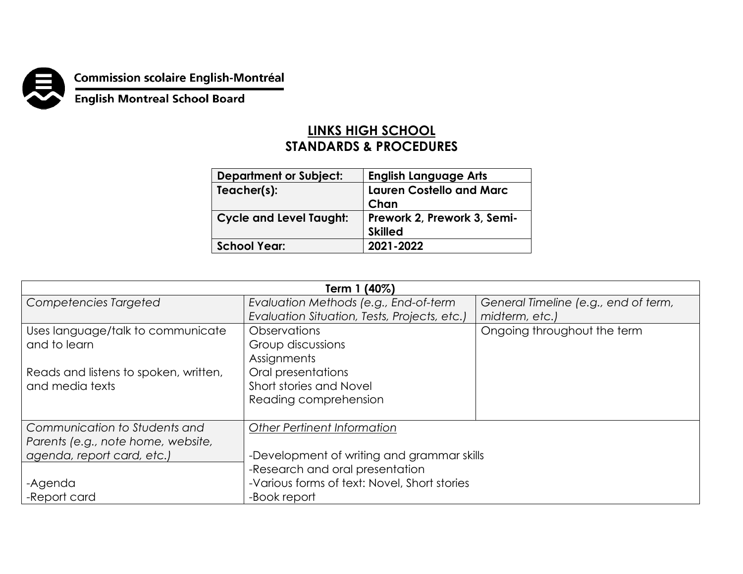

**Commission scolaire English-Montréal<br>English Montreal School Board** 

## **LINKS HIGH SCHOOL STANDARDS & PROCEDURES**

| <b>Department or Subject:</b>  | <b>English Language Arts</b>    |
|--------------------------------|---------------------------------|
| Teacher(s):                    | <b>Lauren Costello and Marc</b> |
|                                | Chan                            |
| <b>Cycle and Level Taught:</b> | Prework 2, Prework 3, Semi-     |
|                                | <b>Skilled</b>                  |
| <b>School Year:</b>            | 2021-2022                       |

| Term 1 (40%)                          |                                              |                                      |  |  |
|---------------------------------------|----------------------------------------------|--------------------------------------|--|--|
| Competencies Targeted                 | Evaluation Methods (e.g., End-of-term        | General Timeline (e.g., end of term, |  |  |
|                                       | Evaluation Situation, Tests, Projects, etc.) | midterm, etc.)                       |  |  |
| Uses language/talk to communicate     | <b>Observations</b>                          | Ongoing throughout the term          |  |  |
| and to learn                          | Group discussions                            |                                      |  |  |
|                                       | Assignments                                  |                                      |  |  |
| Reads and listens to spoken, written, | Oral presentations                           |                                      |  |  |
| and media texts                       | Short stories and Novel                      |                                      |  |  |
|                                       | Reading comprehension                        |                                      |  |  |
|                                       |                                              |                                      |  |  |
| Communication to Students and         | <b>Other Pertinent Information</b>           |                                      |  |  |
| Parents (e.g., note home, website,    |                                              |                                      |  |  |
| agenda, report card, etc.)            | -Development of writing and grammar skills   |                                      |  |  |
|                                       | -Research and oral presentation              |                                      |  |  |
| -Agenda                               | -Various forms of text: Novel, Short stories |                                      |  |  |
| -Report card                          | -Book report                                 |                                      |  |  |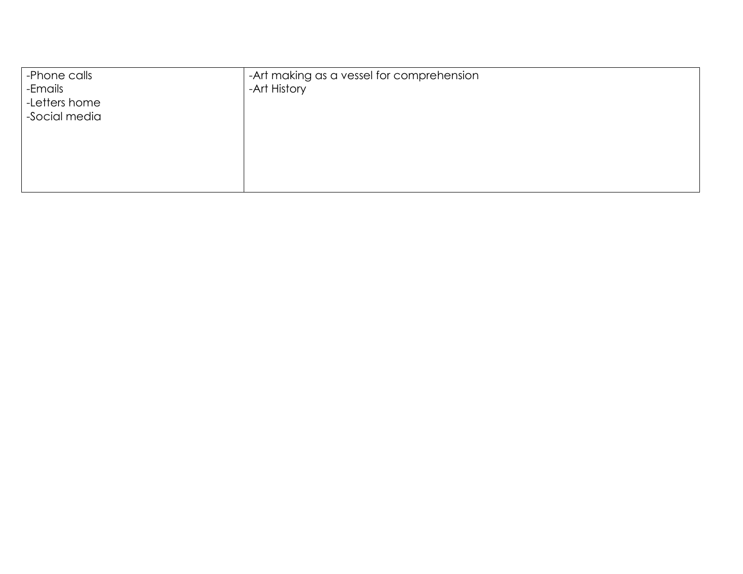| -Phone calls<br>-Emails<br>-Letters home<br>-Social media | -Art making as a vessel for comprehension<br>-Art History |
|-----------------------------------------------------------|-----------------------------------------------------------|
|                                                           |                                                           |